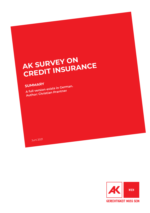# **AK SURVEY ON AK SURVE: CRANCE**

## **SUMMARY**

**A full version exists in German. Author: Christian Prantner**

Juni 2021

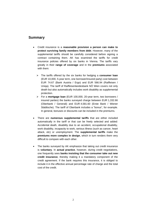## **Summary**

- Credit insurance is a **reasonable provision a person can make to protect surviving family members from debt**. However, many of the supplemental tariffs should be carefully considered before signing a contract containing them. AK has examined the tariffs for credit insurance policies offered by six banks in Vienna. The tariffs vary greatly in their **range of coverage** and in the **premiums** associated with them:
	- The tariffs offered by the six banks for hedging a **consumer loan** (EUR 10,000, 5-year term, one borrower/insured party) cost between EUR 74.67 (Bank Austria / Ergo) and EUR 566.94 (Raiffeisen / Uniqa). The tariff of Raiffeisenlandesbank NÖ Wien covers not only death but also automatically includes work disability as supplemental protection.
	- For a **mortgage loan** (EUR 100,000, 20-year term, two borrowers / insured parties) the banks surveyed charge between EUR 1,332.66 (Oberbank / Generali) and EUR 4,581.60 (Erste Bank / Wiener Städtische). The tariff of Oberbank includes a "bonus", for example. In general, bonuses or discounts can be included in the premiums.
- There are **numerous supplemental tariffs** that are either included automatically in the tariff or that can be freely selected and added: Accidental death, disability due to an accident, occupational disability, work disability, incapacity to work, serious illness (such as cancer, heart attack, etc) or unemployment. The **supplemental tariffs** make the **premiums more complex in design**, which in turn renders them very difficult to compare with each other.
- The banks surveyed by AK emphasize that taking out credit insurance is **voluntary**. In **actual practice**, however, during credit negotiations, one frequently sees **banks insisting that the consumer take out new credit insurance**, thereby making it a mandatory component of the credit agreement. If the bank requires this insurance, it is obliged to include it in the effective annual percentage rate of charge and the total cost of the credit.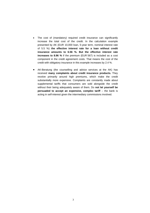- The cost of (mandatory) required credit insurance can significantly increase the total cost of the credit. In the calculation example presented by AK (EUR 10,000 loan, 5-year term, nominal interest rate of 5.5 %) **the effective interest rate for a loan without credit insurance amounts to 6.56 %. But the effective interest rate increases to 8.96 %** if the premium (EUR 567) is included as a cost component in the credit agreement costs. That means the cost of the credit with obligatory insurance in this example increases by 2.4 %.
- AK-Beratung (the counselling and advice services at the AK) has received **many complaints about credit insurance products.** They revolve primarily around high premiums, which make the credit substantially more expensive. Complaints are constantly made about supplemental tariffs that consumers are sold alongside the credit without their being adequately aware of them. Do **not let yourself be persuaded to accept an expensive, complex tariff** – the bank is acting in self-interest given the intermediary commissions involved.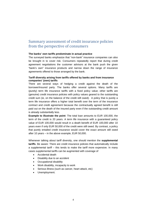## Summary assessment of credit insurance policies from the perspective of consumers

#### **The banks' own tariffs predominate in actual practice**

The surveyed banks emphasize that "non-bank" insurance companies can also be brought in to cover risk. Consumers repeatedly report that during credit agreement negotiations the customer advisors at the bank push the given "bank's own" insurance products and narrow down the range of insurance agreements offered to those arranged by the bank.

### **Tariff diversity arising from tariffs offered by banks and from insurance companies' (own) tariffs**

There are several ways of hedging a credit against the death of the borrower/insured party. The banks offer several options. Many tariffs are (purely) term life insurance tariffs with a fixed policy value; other tariffs are (genuine) credit insurance policies with policy values geared to the outstanding credit sum (ie, on the balance of the credit still owed). A policy that is purely a term life insurance offers a higher total benefit over the term of the insurance contract and credit agreement because the contractually agreed benefit is still paid out on the death of the insured party even if the outstanding credit amount is already substantially less.

**Example to illustrate the point**: The total loan amounts to EUR 100,000, the term of the credit is 20 years. A term life insurance with a guaranteed policy value of EUR 100,000 would result in a death benefit of EUR 100,000 after 10 years even if only EUR 50,000 of the credit were still owed. By contrast, a policy that purely entailed credit insurance would cover the exact amount still owed after 10 years – in the above example, EUR 50,000.

Whenever talking about tariff diversity, one should mention the **supplemental tariffs**. Be aware: There are credit insurance policies that automatically include a supplemental tariff – this tends to make the tariff more expensive. In many cases supplemental tariffs can be augmented with coverage of

- Accidental death
- Disability due to an accident
- Occupational disability
- Work disability, incapacity to work
- Serious illness (such as cancer, heart attack, etc)
- Unemployment.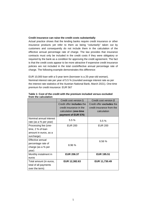### **Credit insurance can raise the credit costs substantially**

Actual practice shows that the lending banks require credit insurance or other insurance products yet refer to them as being "voluntarily" taken out by customers and consequently do not include them in the calculation of the effective annual percentage rate of charge. The law provides that insurance contracts must only be included in the credit costs if they were obligatory or required by the bank as a condition for approving the credit agreement. The fact is that the credit costs appear to be more attractive if expensive credit insurance policies are not included in the total cost/effective annual percentage rate of charge. The following example demonstrates this difference:

EUR 10,000 loan with a 5-year term (borrower is a 25-year-old woman). Nominal interest rate per year of 5.5 % (rounded average interest rate as per the interest rate statistics of the Austrian National Bank, March 2021). One-time premium for credit insurance: EUR 567

|                         | Credit cost version 1            | Credit cost version 2            |
|-------------------------|----------------------------------|----------------------------------|
|                         | Credit offer <b>includes</b> the | Credit offer <b>excludes</b> the |
|                         | credit insurance in the          | credit insurance from the        |
|                         | calculation (one-time            | calculation                      |
|                         | payment of EUR 576)              |                                  |
| Nominal annual interest | 5.5%                             |                                  |
| rate (as a % per year)  |                                  | 5.5%                             |
| Processing fee (one-    | <b>EUR 200</b>                   | <b>EUR 200</b>                   |
| time, 2 % of loan       |                                  |                                  |
| amount in euros, as a   |                                  |                                  |
| surcharge)              |                                  |                                  |
| Effective annual        |                                  | 6.56%                            |
| percentage rate of      | 8.96%                            |                                  |
| charge (as a % per      |                                  |                                  |
| year)                   |                                  |                                  |
| Monthly instalment in   | <b>EUR 206.37</b>                | <b>EUR 195.51</b>                |
| euros                   |                                  |                                  |
| Total amount (in euros, | EUR 12,382.63                    | EUR 11,730.49                    |
| total of all payments   |                                  |                                  |
| over the term)          |                                  |                                  |

**Table 1: Cost of the credit with the premium included versus excluded from the calculation**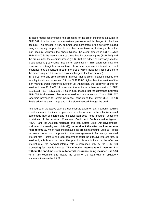In these model assumptions, the premium for the credit insurance amounts to EUR 567. It is incurred once (one-time premium) and is charged to the loan account. This practice is very common and culminates in the borrower/insured party not paying the premium in cash but rather financing it through his or her loan account. Applying the above figures, the credit amount is EUR 10,767: EUR 10,000 is the loan amount paid out, but the processing fee (EUR 200) and the premium for the credit insurance (EUR 567) are added as surcharges to the credit amount ("surcharge method of calculation"). This approach puts the borrower at a tangible disadvantage. He or she pays credit interest on credit insurance that is financed through the credit (which incidentally also applies to the processing fee if it is added as a surcharge to the loan amount).

In figures: the one-time premium financed that is credit financed causes the monthly instalment for version 1 to be EUR 10.86 higher than the version of the loan without credit insurance (version 2). Altogether, the borrower opting for version 1 pays EUR 652.14 more over the entire term than for version 2 (EUR 12,382.63 – EUR 11,730.49). This, in turn, means that the difference between EUR 652.14 (increased charge from version 1 versus version 2) and EUR 567 (one-time premium for credit insurance) consists of the interest (EUR 85.14) that is added as a surcharge and is therefore financed through the credit.

The figures in the above example demonstrate a further fact. If a bank requires credit insurance, the incurred premium must be included in the effective annual percentage rate of charge and the total loan cost ("total amount") under the provisions of the Austrian Consumer Credit Act (Verbraucherkreditgesetz (VKrG)) and the Austrian Mortgage and Real Estate Credit Act (Hypothekarund Immobilienkreditgesetz (HIKrG)). **In version 1 the effective interest rate rises to 8.96 %,** which happens because the premium amount (EUR 567) must be viewed as a cost component of the loan agreement. Put simply: Nominal interest rate + costs of the loan agreement equal the effective interest rate. In version 2, this is not the case: The premium is not included in the effective interest rate; the nominal interest rate is increased only by the EUR 200 processing fee that is incurred. **The effective interest rate in version 2 – without the one-time premium for credit insurance being included** – **is 6.56 %.** In this example, this means the costs of the loan with an obligatory insurance increase by 2.4 %.